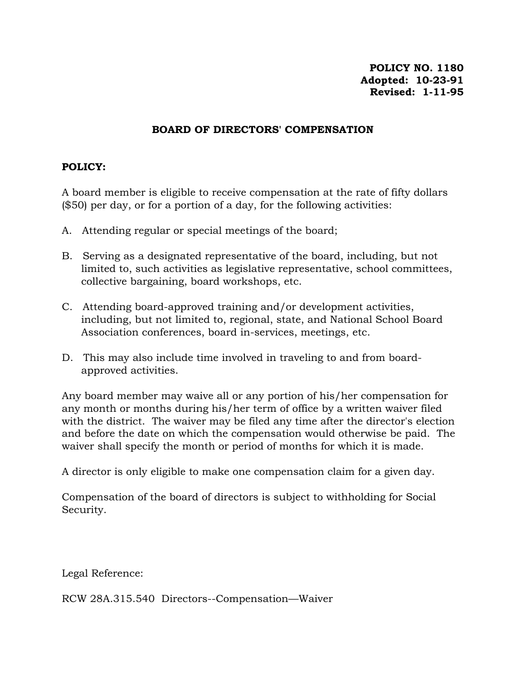## **BOARD OF DIRECTORS' COMPENSATION**

## **POLICY:**

A board member is eligible to receive compensation at the rate of fifty dollars (\$50) per day, or for a portion of a day, for the following activities:

- A. Attending regular or special meetings of the board;
- B. Serving as a designated representative of the board, including, but not limited to, such activities as legislative representative, school committees, collective bargaining, board workshops, etc.
- C. Attending board-approved training and/or development activities, including, but not limited to, regional, state, and National School Board Association conferences, board in-services, meetings, etc.
- D. This may also include time involved in traveling to and from boardapproved activities.

Any board member may waive all or any portion of his/her compensation for any month or months during his/her term of office by a written waiver filed with the district. The waiver may be filed any time after the director's election and before the date on which the compensation would otherwise be paid. The waiver shall specify the month or period of months for which it is made.

A director is only eligible to make one compensation claim for a given day.

Compensation of the board of directors is subject to withholding for Social Security.

Legal Reference:

RCW 28A.315.540 Directors--Compensation—Waiver